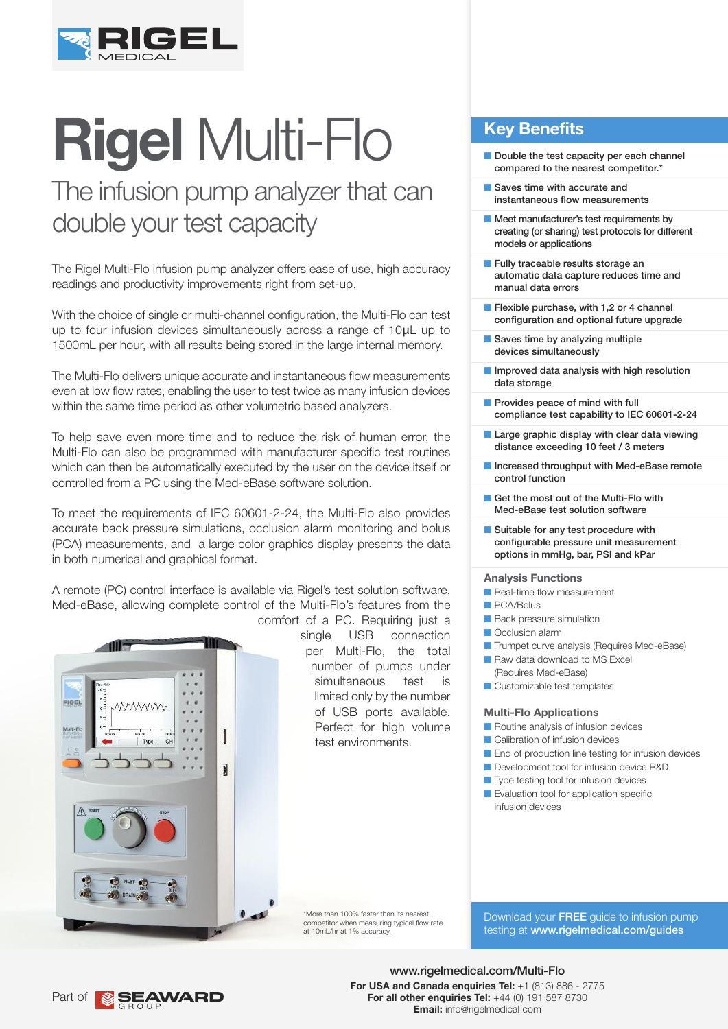

# **Rigel** Multi-Flo

## The infusion pump analyzer that can double your test capacity

The Rigel Multi-Flo infusion pump analyzer offers ease of use, high accuracy readings and productivity improvements right from set-up.

With the choice of single or multi-channel configuration, the Multi-Flo can test up to four infusion devices simultaneously across a range of 10μL up to 1500mL per hour, with all results being stored in the large internal memory.

The Multi-Flo delivers unique accurate and instantaneous flow measurements even at low flow rates, enabling the user to test twice as many infusion devices within the same time period as other volumetric based analyzers.

To help save even more time and to reduce the risk of human error, the Multi-Flo can also be programmed with manufacturer specific test routines which can then be automatically executed by the user on the device itself or controlled from a PC using the Med-eBase software solution.

To meet the requirements of IEC 60601-2-24, the Multi-Flo also provides accurate back pressure simulations, occlusion alarm monitoring and bolus (PCA) measurements, and a large color graphics display presents the data in both numerical and graphical format.

A remote (PC) control interface is available via Rigel's test solution software, Med-eBase, allowing complete control of the Multi-Flo's features from the



comfort of a PC. Requiring just a single USB connection per Multi-Flo, the total number of pumps under simultaneous test is limited only by the number of USB ports available. Perfect for high volume test environments.

**Key Benefits**

- $\blacksquare$  Double the test capacity per each channel compared to the nearest competitor.\*
- Saves time with accurate and instantaneous flow measurements
- $\blacksquare$  Meet manufacturer's test requirements by creating (or sharing) test protocols for different models or applications
- **n** Fully traceable results storage an automatic data capture reduces time and manual data errors
- $\blacksquare$  Flexible purchase, with 1,2 or 4 channel configuration and optional future upgrade
- $\blacksquare$  Saves time by analyzing multiple devices simultaneously
- $\blacksquare$  Improved data analysis with high resolution data storage
- **Provides peace of mind with full** compliance test capability to IEC 60601-2-24
- **n** Large graphic display with clear data viewing distance exceeding 10 feet / 3 meters
- **n** Increased throughput with Med-eBase remote control function
- Get the most out of the Multi-Flo with Med-eBase test solution software
- $\blacksquare$  Suitable for any test procedure with configurable pressure unit measurement options in mmHg, bar, PSI and kPar

#### **Analysis Functions**

- **n** Real-time flow measurement
- **PCA/Bolus**
- **n** Back pressure simulation
- **n** Occlusion alarm
- **n** Trumpet curve analysis (Requires Med-eBase)
- Raw data download to MS Excel (Requires Med-eBase)
- $\blacksquare$  Customizable test templates

#### **Multi-Flo Applications**

- **n** Routine analysis of infusion devices
- Calibration of infusion devices
- **n** End of production line testing for infusion devices
- **n** Development tool for infusion device R&D
- Type testing tool for infusion devices
- **n** Evaluation tool for application specific infusion devices

\*More than 100% faster than its nearest competitor when measuring typical flow rate at 10mL/hr at 1% accuracy.

Download your FREE quide to infusion pump testing at www.rigelmedical.com/guides

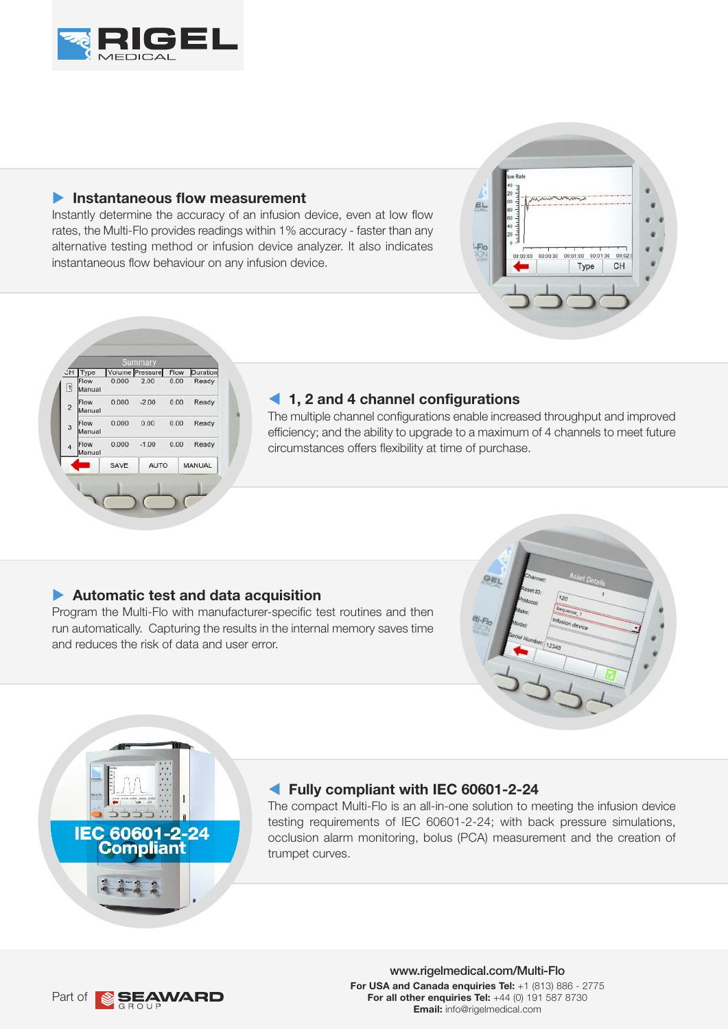

#### **Instantaneous flow measurement**

Instantly determine the accuracy of an infusion device, even at low flow rates, the Multi-Flo provides readings within 1% accuracy - faster than any alternative testing method or infusion device analyzer. It also indicates instantaneous flow behaviour on any infusion device.





#### **1, 2 and 4 channel configurations**

The multiple channel configurations enable increased throughput and improved efficiency; and the ability to upgrade to a maximum of 4 channels to meet future circumstances offers flexibility at time of purchase.

#### u **Automatic test and data acquisition**

Program the Multi-Flo with manufacturer-specific test routines and then run automatically. Capturing the results in the internal memory saves time and reduces the risk of data and user error.





#### **Fully compliant with IEC 60601-2-24**

The compact Multi-Flo is an all-in-one solution to meeting the infusion device testing requirements of IEC 60601-2-24; with back pressure simulations, occlusion alarm monitoring, bolus (PCA) measurement and the creation of trumpet curves.

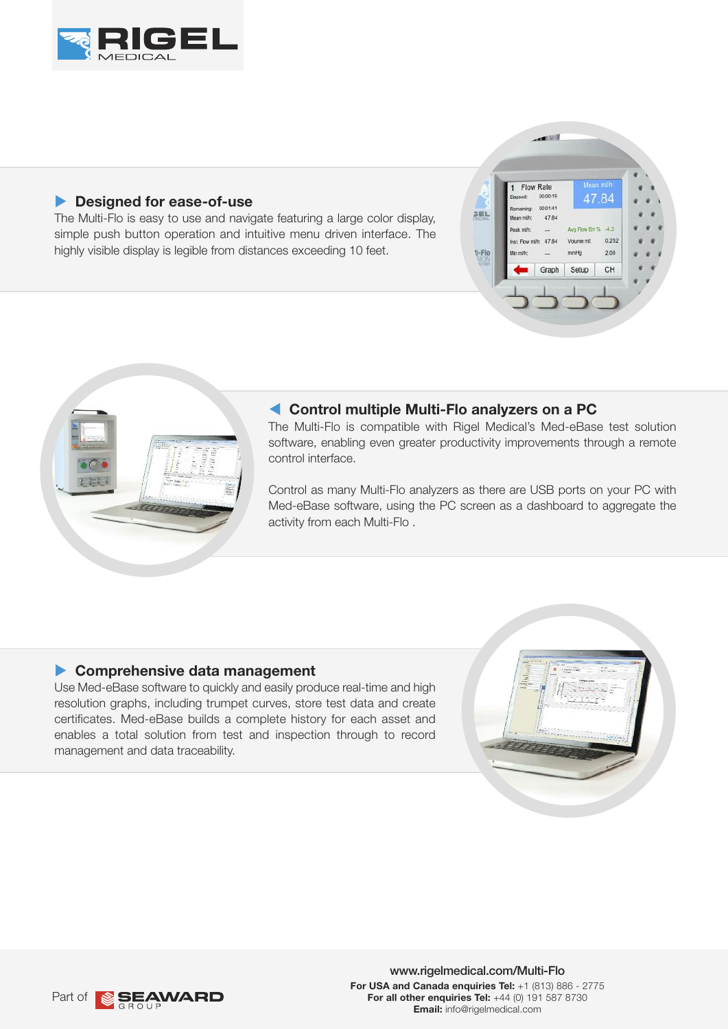

#### **P** Designed for ease-of-use

The Multi-Flo is easy to use and navigate featuring a large color display, simple push button operation and intuitive menu driven interface. The highly visible display is legible from distances exceeding 10 feet.



#### **Control multiple Multi-Flo analyzers on a PC**

The Multi-Flo is compatible with Rigel Medical's Med-eBase test solution software, enabling even greater productivity improvements through a remote control interface.

SEL

V-Flo

 $-100$ 

00:01:41

47.84

Graph

mmille

Setup

4784

0.252

 $200$ 

 $CH$ 

Flow Rate  $00:00:11$ 

st. Flow milh: 47.84

Control as many Multi-Flo analyzers as there are USB ports on your PC with Med-eBase software, using the PC screen as a dashboard to aggregate the activity from each Multi-Flo .

#### **Comprehensive data management**

Use Med-eBase software to quickly and easily produce real-time and high resolution graphs, including trumpet curves, store test data and create certificates. Med-eBase builds a complete history for each asset and enables a total solution from test and inspection through to record management and data traceability.



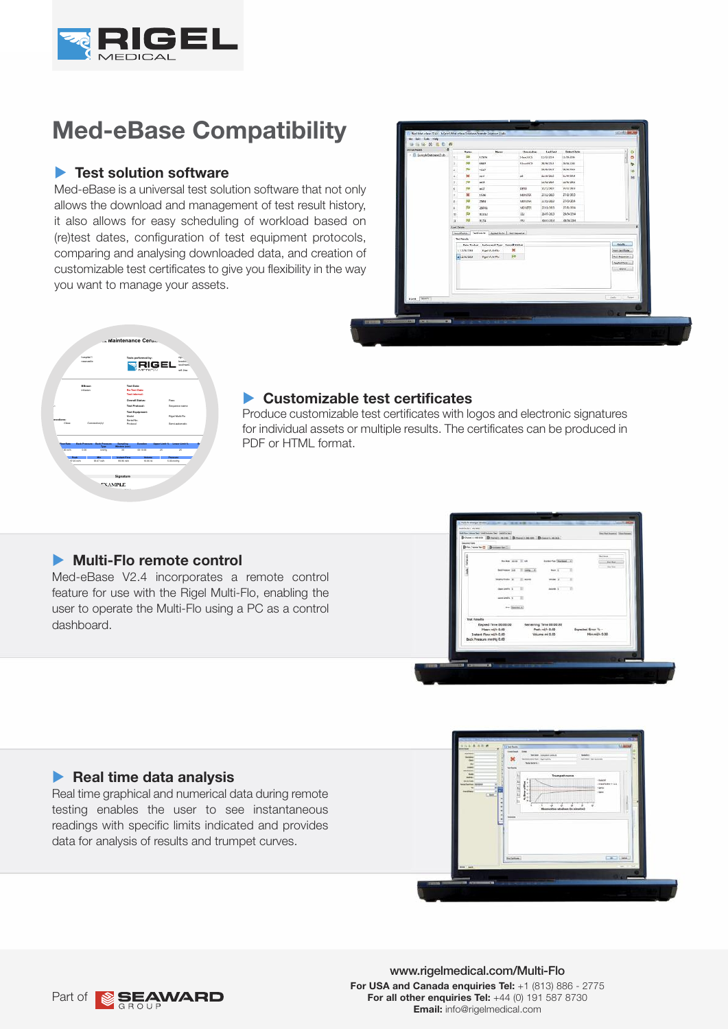

## **Med-eBase Compatibility**

#### **Fast solution software**

Med-eBase is a universal test solution software that not only allows the download and management of test result history, it also allows for easy scheduling of workload based on (re)test dates, configuration of test equipment protocols, comparing and analysing downloaded data, and creation of customizable test certificates to give you flexibility in the way you want to manage your assets.

| <b>FIRST NEWS</b><br>٨<br><b>Lat last</b><br><b>Retext Date</b><br>×<br>ö<br><b>Station</b><br><b>Harner</b><br><b>Benzieling</b><br>- El bandel Democratialo<br>۰<br>par<br>12/20/2014<br>11/20-2014<br>t.<br>LOEN<br><b>StartEGS</b><br>w<br>AMATT<br>SlashKS<br>26/38/2931<br>28/26/220.0<br>I.<br>ø<br>FM<br>26/06/2017<br>26/05/2004<br>z<br>4520<br>ìö.<br>×<br>ZINN'SKI<br>21/04/2014<br><b>SEAT</b><br>$16 -$<br>M<br>pu<br>12/02/2022<br>samurant<br>٠<br>and Mr.<br>m<br>certs<br><b>ROWR</b><br>26/21/2018<br>¢<br><b>HGT</b><br>$\mathbf{x}$<br>MONTER.<br>2010/00/3<br>concurr<br>15.96<br>$\mathbf{r}$<br>RI<br>2010012084<br>MOSTER.<br>nuncia<br>2954<br>$\mathbf{g}$ .<br>Fili<br><b>MONESS</b><br>2011/1083<br>2011/0084<br>26041<br>×<br>中<br>2945-2943<br>29/942264<br>minte<br>IIO <sup>1</sup><br>$\infty$<br>FM<br>itu.<br>n<br>0.734<br><b>ROUZE</b><br>0333284<br>ä<br><b>Auctionals</b><br>WINDS Appeared Because<br>InsetDelab<br><b>Tel: New York</b><br><b>Neighty</b><br>Date Trains: Indemand Type: Overall Matus;<br>×<br>11.12/23/284<br><b>Rigel Multi-Flo</b><br>PHR.CASSCAN<br><b>PD</b><br>a 12/20/2014<br>Riggi Multi-Ro-<br>Tel:Dentick<br>Applied Particular<br>fees. | For Tell: Euk - Help<br> |  |  |  |  |  |  |  |  |  |
|---------------------------------------------------------------------------------------------------------------------------------------------------------------------------------------------------------------------------------------------------------------------------------------------------------------------------------------------------------------------------------------------------------------------------------------------------------------------------------------------------------------------------------------------------------------------------------------------------------------------------------------------------------------------------------------------------------------------------------------------------------------------------------------------------------------------------------------------------------------------------------------------------------------------------------------------------------------------------------------------------------------------------------------------------------------------------------------------------------------------------------------------------------------------------------------------------------------|--------------------------|--|--|--|--|--|--|--|--|--|
|                                                                                                                                                                                                                                                                                                                                                                                                                                                                                                                                                                                                                                                                                                                                                                                                                                                                                                                                                                                                                                                                                                                                                                                                               |                          |  |  |  |  |  |  |  |  |  |
|                                                                                                                                                                                                                                                                                                                                                                                                                                                                                                                                                                                                                                                                                                                                                                                                                                                                                                                                                                                                                                                                                                                                                                                                               |                          |  |  |  |  |  |  |  |  |  |
|                                                                                                                                                                                                                                                                                                                                                                                                                                                                                                                                                                                                                                                                                                                                                                                                                                                                                                                                                                                                                                                                                                                                                                                                               |                          |  |  |  |  |  |  |  |  |  |
|                                                                                                                                                                                                                                                                                                                                                                                                                                                                                                                                                                                                                                                                                                                                                                                                                                                                                                                                                                                                                                                                                                                                                                                                               |                          |  |  |  |  |  |  |  |  |  |
|                                                                                                                                                                                                                                                                                                                                                                                                                                                                                                                                                                                                                                                                                                                                                                                                                                                                                                                                                                                                                                                                                                                                                                                                               |                          |  |  |  |  |  |  |  |  |  |
|                                                                                                                                                                                                                                                                                                                                                                                                                                                                                                                                                                                                                                                                                                                                                                                                                                                                                                                                                                                                                                                                                                                                                                                                               |                          |  |  |  |  |  |  |  |  |  |
|                                                                                                                                                                                                                                                                                                                                                                                                                                                                                                                                                                                                                                                                                                                                                                                                                                                                                                                                                                                                                                                                                                                                                                                                               |                          |  |  |  |  |  |  |  |  |  |
|                                                                                                                                                                                                                                                                                                                                                                                                                                                                                                                                                                                                                                                                                                                                                                                                                                                                                                                                                                                                                                                                                                                                                                                                               |                          |  |  |  |  |  |  |  |  |  |
|                                                                                                                                                                                                                                                                                                                                                                                                                                                                                                                                                                                                                                                                                                                                                                                                                                                                                                                                                                                                                                                                                                                                                                                                               |                          |  |  |  |  |  |  |  |  |  |
|                                                                                                                                                                                                                                                                                                                                                                                                                                                                                                                                                                                                                                                                                                                                                                                                                                                                                                                                                                                                                                                                                                                                                                                                               |                          |  |  |  |  |  |  |  |  |  |
|                                                                                                                                                                                                                                                                                                                                                                                                                                                                                                                                                                                                                                                                                                                                                                                                                                                                                                                                                                                                                                                                                                                                                                                                               |                          |  |  |  |  |  |  |  |  |  |
|                                                                                                                                                                                                                                                                                                                                                                                                                                                                                                                                                                                                                                                                                                                                                                                                                                                                                                                                                                                                                                                                                                                                                                                                               |                          |  |  |  |  |  |  |  |  |  |
|                                                                                                                                                                                                                                                                                                                                                                                                                                                                                                                                                                                                                                                                                                                                                                                                                                                                                                                                                                                                                                                                                                                                                                                                               |                          |  |  |  |  |  |  |  |  |  |
|                                                                                                                                                                                                                                                                                                                                                                                                                                                                                                                                                                                                                                                                                                                                                                                                                                                                                                                                                                                                                                                                                                                                                                                                               |                          |  |  |  |  |  |  |  |  |  |
|                                                                                                                                                                                                                                                                                                                                                                                                                                                                                                                                                                                                                                                                                                                                                                                                                                                                                                                                                                                                                                                                                                                                                                                                               |                          |  |  |  |  |  |  |  |  |  |
|                                                                                                                                                                                                                                                                                                                                                                                                                                                                                                                                                                                                                                                                                                                                                                                                                                                                                                                                                                                                                                                                                                                                                                                                               |                          |  |  |  |  |  |  |  |  |  |
|                                                                                                                                                                                                                                                                                                                                                                                                                                                                                                                                                                                                                                                                                                                                                                                                                                                                                                                                                                                                                                                                                                                                                                                                               |                          |  |  |  |  |  |  |  |  |  |
|                                                                                                                                                                                                                                                                                                                                                                                                                                                                                                                                                                                                                                                                                                                                                                                                                                                                                                                                                                                                                                                                                                                                                                                                               |                          |  |  |  |  |  |  |  |  |  |
|                                                                                                                                                                                                                                                                                                                                                                                                                                                                                                                                                                                                                                                                                                                                                                                                                                                                                                                                                                                                                                                                                                                                                                                                               |                          |  |  |  |  |  |  |  |  |  |
|                                                                                                                                                                                                                                                                                                                                                                                                                                                                                                                                                                                                                                                                                                                                                                                                                                                                                                                                                                                                                                                                                                                                                                                                               |                          |  |  |  |  |  |  |  |  |  |
|                                                                                                                                                                                                                                                                                                                                                                                                                                                                                                                                                                                                                                                                                                                                                                                                                                                                                                                                                                                                                                                                                                                                                                                                               |                          |  |  |  |  |  |  |  |  |  |
|                                                                                                                                                                                                                                                                                                                                                                                                                                                                                                                                                                                                                                                                                                                                                                                                                                                                                                                                                                                                                                                                                                                                                                                                               |                          |  |  |  |  |  |  |  |  |  |
|                                                                                                                                                                                                                                                                                                                                                                                                                                                                                                                                                                                                                                                                                                                                                                                                                                                                                                                                                                                                                                                                                                                                                                                                               |                          |  |  |  |  |  |  |  |  |  |
| Apple<br>Sear.<br>Brival Server                                                                                                                                                                                                                                                                                                                                                                                                                                                                                                                                                                                                                                                                                                                                                                                                                                                                                                                                                                                                                                                                                                                                                                               |                          |  |  |  |  |  |  |  |  |  |
|                                                                                                                                                                                                                                                                                                                                                                                                                                                                                                                                                                                                                                                                                                                                                                                                                                                                                                                                                                                                                                                                                                                                                                                                               |                          |  |  |  |  |  |  |  |  |  |
|                                                                                                                                                                                                                                                                                                                                                                                                                                                                                                                                                                                                                                                                                                                                                                                                                                                                                                                                                                                                                                                                                                                                                                                                               |                          |  |  |  |  |  |  |  |  |  |
|                                                                                                                                                                                                                                                                                                                                                                                                                                                                                                                                                                                                                                                                                                                                                                                                                                                                                                                                                                                                                                                                                                                                                                                                               |                          |  |  |  |  |  |  |  |  |  |



#### u **Customizable test certificates**

Produce customizable test certificates with logos and electronic signatures for individual assets or multiple results. The certificates can be produced in PDF or HTML format.

#### **Multi-Flo** remote control

Med-eBase V2.4 incorporates a remote control feature for use with the Rigel Multi-Flo, enabling the user to operate the Multi-Flo using a PC as a control dashboard.

| <b>Grandman Toma</b> | Brief was be II Bonne tell.                                                                  |              |                                                              | Service                               |  |
|----------------------|----------------------------------------------------------------------------------------------|--------------|--------------------------------------------------------------|---------------------------------------|--|
|                      | <b>FRANK SILIE</b>                                                                           |              | <b>Autorise Dischard  v.</b>                                 | <b>Amy Net</b>                        |  |
|                      | <b>bes France 3-85</b>                                                                       | T. Deep L.A. | <b>Basic &amp;</b>                                           | the fee                               |  |
|                      | <b>Mary Anka</b> 20                                                                          | 31 work      | model <sub>2</sub>                                           |                                       |  |
|                      | class und % 2                                                                                |              | Andrew U.                                                    |                                       |  |
|                      | parent pred for an                                                                           |              |                                                              |                                       |  |
|                      | the Squad 4                                                                                  |              |                                                              |                                       |  |
| <b>Test Results</b>  |                                                                                              |              |                                                              |                                       |  |
|                      | Elepsed Time 00:00:00<br>Hean mith 0.00<br>Instant Flow mith 0.00<br>Beck Pressure mmHg 0.00 |              | Remaining Time 00:00:00<br>Peak milft 0.00<br>Volume rd 0.00 | Expected Error W. -<br>Min mil/n 0.00 |  |
|                      |                                                                                              |              |                                                              |                                       |  |

#### **Real time data analysis**

Real time graphical and numerical data during remote testing enables the user to see instantaneous readings with specific limits indicated and provides data for analysis of results and trumpet curves.



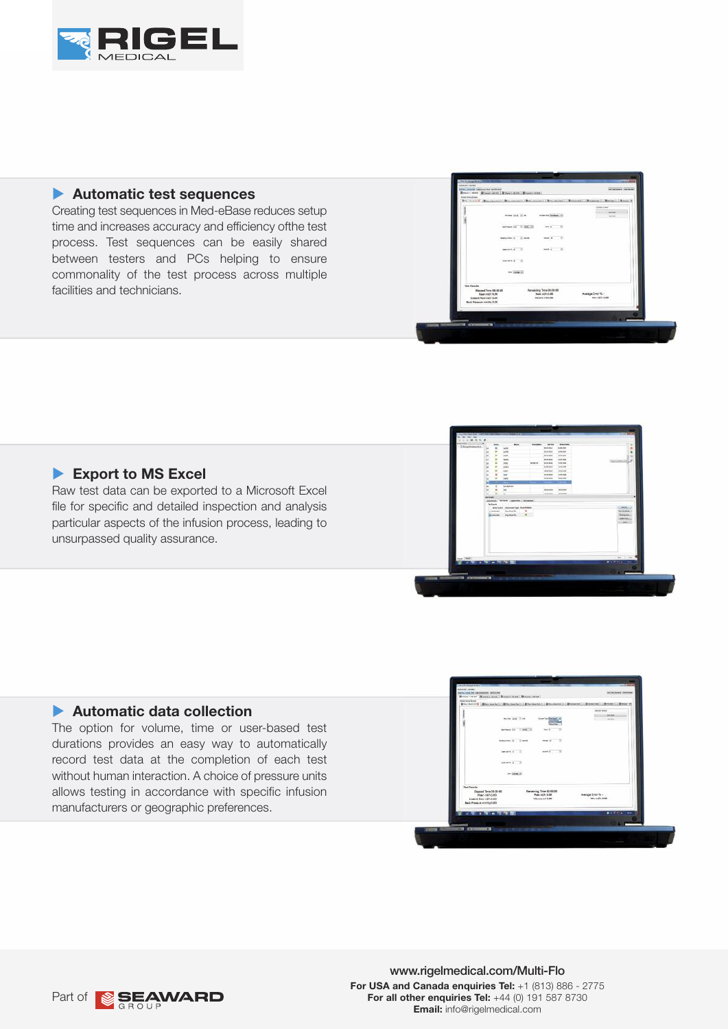

#### u **Automatic test sequences**

Creating test sequences in Med-eBase reduces setup time and increases accuracy and efficiency ofthe test process. Test sequences can be easily shared between testers and PCs helping to ensure commonality of the test process across multiple facilities and technicians.

| introductions<br><b>ARTIME</b><br>went | missing (seems) at                   | taxes like 10 m                                                                      |
|----------------------------------------|--------------------------------------|--------------------------------------------------------------------------------------|
|                                        | $m = 1$                              | Astronom Lot . Il limit  All                                                         |
|                                        | $m = 4$<br>×                         | warsteln in 11 après                                                                 |
|                                        | $-41 - 1$                            | percent at 1.1                                                                       |
|                                        |                                      | <b>Andrew's William</b>                                                              |
|                                        |                                      | by Jones, 41                                                                         |
|                                        | Renaining Time 00:00:00              | <b>Test Results</b><br>Elegand Tone 05 05:00                                         |
| Availage Error % -<br>Play add 0.00    | PAGE HATS CLOSE<br>Williams and D.BD | Hawn mills 0.00<br><b>Instant Row mich 0.00</b><br><b>Back Pressure manning 0.00</b> |
|                                        |                                      |                                                                                      |

### **Export to MS Excel**

Raw test data can be exported to a Microsoft Excel file for specific and detailed inspection and analysis particular aspects of the infusion process, leading to unsurpassed quality assurance.

#### ▶ Automatic data collection

The option for volume, time or user-based test durations provides an easy way to automatically record test data at the completion of each test without human interaction. A choice of pressure units allows testing in accordance with specific infusion manufacturers or geographic preferences.